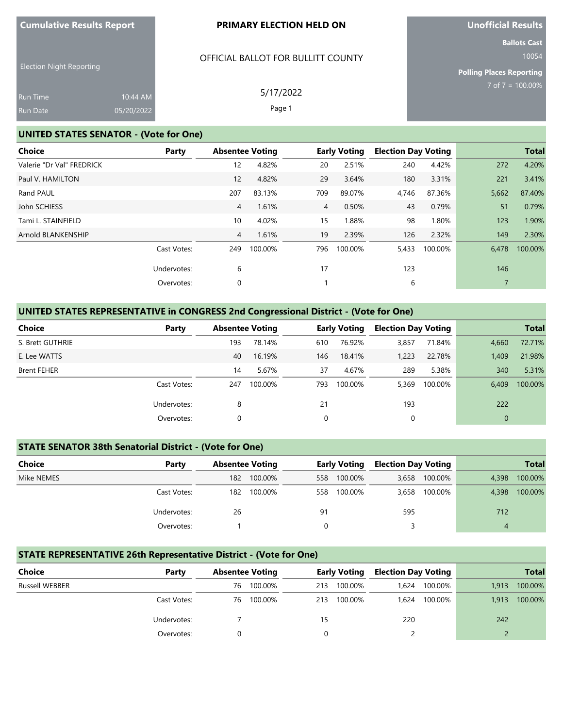#### **PRIMARY ELECTION HELD ON**

OFFICIAL BALLOT FOR BULLITT COUNTY

5/17/2022 Page 1

# **Unofficial Results**

**Ballots Cast**

10054

**Polling Places Reporting** 7 of 7 = 100.00%

| <b>Run Time</b> | $10:44$ AM |
|-----------------|------------|
| <b>Run Date</b> | 05/20/2022 |

### **UNITED STATES SENATOR - (Vote for One)**

| Party       |                |         |                        |         |                                       |         |                            | <b>Total</b> |
|-------------|----------------|---------|------------------------|---------|---------------------------------------|---------|----------------------------|--------------|
|             | 12             | 4.82%   | 20                     | 2.51%   | 240                                   | 4.42%   | 272                        | 4.20%        |
|             | 12             | 4.82%   | 29                     | 3.64%   | 180                                   | 3.31%   | 221                        | 3.41%        |
|             | 207            | 83.13%  | 709                    | 89.07%  | 4,746                                 | 87.36%  | 5,662                      | 87.40%       |
|             | $\overline{4}$ | 1.61%   |                        | 0.50%   | 43                                    | 0.79%   | 51                         | 0.79%        |
|             | 10             | 4.02%   | 15                     | 1.88%   | 98                                    | 1.80%   | 123                        | 1.90%        |
|             | $\overline{4}$ | 1.61%   | 19                     | 2.39%   | 126                                   | 2.32%   | 149                        | 2.30%        |
| Cast Votes: | 249            | 100.00% | 796                    | 100.00% | 5,433                                 | 100.00% | 6,478                      | 100.00%      |
| Undervotes: | 6              |         | 17                     |         | 123                                   |         | 146                        |              |
| Overvotes:  | 0              |         |                        |         | 6                                     |         |                            |              |
|             |                |         | <b>Absentee Voting</b> |         | <b>Early Voting</b><br>$\overline{4}$ |         | <b>Election Day Voting</b> |              |

### **UNITED STATES REPRESENTATIVE in CONGRESS 2nd Congressional District - (Vote for One)**

| <b>Choice</b>      | Party       |     | <b>Absentee Voting</b> |     | <b>Early Voting</b> | <b>Election Day Voting</b> |         |              | <b>Total</b> |
|--------------------|-------------|-----|------------------------|-----|---------------------|----------------------------|---------|--------------|--------------|
| S. Brett GUTHRIE   |             | 193 | 78.14%                 | 610 | 76.92%              | 3,857                      | 71.84%  | 4,660        | 72.71%       |
| E. Lee WATTS       |             | 40  | 16.19%                 | 146 | 18.41%              | 1,223                      | 22.78%  | 1,409        | 21.98%       |
| <b>Brent FEHER</b> |             | 14  | 5.67%                  | 37  | 4.67%               | 289                        | 5.38%   | 340          | 5.31%        |
|                    | Cast Votes: | 247 | 100.00%                | 793 | 100.00%             | 5,369                      | 100.00% | 6.409        | 100.00%      |
|                    | Undervotes: | 8   |                        | 21  |                     | 193                        |         | 222          |              |
|                    | Overvotes:  | 0   |                        | 0   |                     | 0                          |         | $\mathbf{0}$ |              |

## **STATE SENATOR 38th Senatorial District - (Vote for One)**

| Choice     | Party       |     | <b>Absentee Voting</b> |     | <b>Early Voting</b> | <b>Election Day Voting</b> |               |       | <b>Total</b> |
|------------|-------------|-----|------------------------|-----|---------------------|----------------------------|---------------|-------|--------------|
| Mike NEMES |             | 182 | 100.00%                | 558 | 100.00%             | 3,658                      | 100.00%       | 4,398 | 100.00%      |
|            | Cast Votes: | 182 | 100.00%                | 558 | 100.00%             |                            | 3,658 100.00% | 4,398 | 100.00%      |
|            | Undervotes: | 26  |                        | 91  |                     | 595                        |               | 712   |              |
|            | Overvotes:  |     |                        |     |                     |                            |               | 4     |              |

## **STATE REPRESENTATIVE 26th Representative District - (Vote for One)**

| Choice                | Party       | <b>Absentee Voting</b> |         |     | <b>Early Voting</b> | <b>Election Day Voting</b> |         |       | <b>Total</b> |
|-----------------------|-------------|------------------------|---------|-----|---------------------|----------------------------|---------|-------|--------------|
| <b>Russell WEBBER</b> |             | 76                     | 100.00% | 213 | 100.00%             | 1,624                      | 100.00% | 1.913 | 100.00%      |
|                       | Cast Votes: | 76                     | 100.00% | 213 | 100.00%             | .624                       | 100.00% | 1,913 | 100.00%      |
|                       | Undervotes: |                        |         | 15  |                     | 220                        |         | 242   |              |
|                       | Overvotes:  |                        |         |     |                     |                            |         |       |              |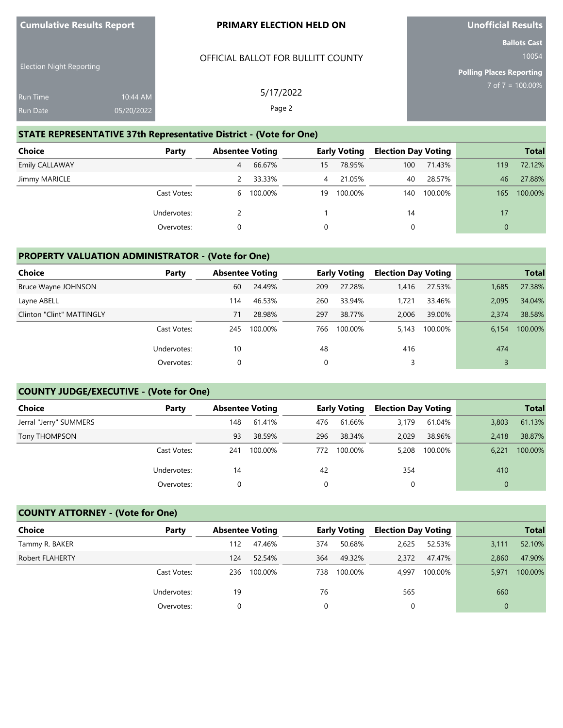| <b>Cumulative Results Report</b> |  |  |  |  |  |
|----------------------------------|--|--|--|--|--|
|----------------------------------|--|--|--|--|--|

### **PRIMARY ELECTION HELD ON**

OFFICIAL BALLOT FOR BULLITT COUNTY

**Unofficial Results**

**Ballots Cast**

10054

**Polling Places Reporting** 7 of 7 = 100.00%

| 5/17/2022 | 10:44 AM   | <b>Run Time</b> |
|-----------|------------|-----------------|
| Page 2    | 05/20/2022 | <b>Run Date</b> |
|           |            |                 |

### **STATE REPRESENTATIVE 37th Representative District - (Vote for One)**

| <b>Choice</b>         | Party       |   | <b>Absentee Voting</b> |    | <b>Early Voting</b> | <b>Election Day Voting</b> |         |              | <b>Total</b> |
|-----------------------|-------------|---|------------------------|----|---------------------|----------------------------|---------|--------------|--------------|
| <b>Emily CALLAWAY</b> |             | 4 | 66.67%                 | 15 | 78.95%              | 100                        | 71.43%  | 119          | 72.12%       |
| Jimmy MARICLE         |             |   | 33.33%                 | 4  | 21.05%              | 40                         | 28.57%  | 46           | 27.88%       |
|                       | Cast Votes: |   | 6 100.00%              | 19 | 100.00%             | 140                        | 100.00% | 165          | 100.00%      |
|                       | Undervotes: |   |                        |    |                     | 14                         |         | $17^{\circ}$ |              |
|                       | Overvotes:  |   |                        | 0  |                     | 0                          |         | $\mathbf{0}$ |              |

## **PROPERTY VALUATION ADMINISTRATOR - (Vote for One)**

| <b>Choice</b>             | Party       | <b>Absentee Voting</b> |         |     | <b>Early Voting</b> | <b>Election Day Voting</b> |         |       | <b>Total</b> |
|---------------------------|-------------|------------------------|---------|-----|---------------------|----------------------------|---------|-------|--------------|
| Bruce Wayne JOHNSON       |             | 60                     | 24.49%  | 209 | 27.28%              | 1,416                      | 27.53%  | 1,685 | 27.38%       |
| Layne ABELL               |             | 114                    | 46.53%  | 260 | 33.94%              | 1,721                      | 33.46%  | 2.095 | 34.04%       |
| Clinton "Clint" MATTINGLY |             | 71                     | 28.98%  | 297 | 38.77%              | 2,006                      | 39.00%  | 2.374 | 38.58%       |
|                           | Cast Votes: | 245                    | 100.00% | 766 | 100.00%             | 5.143                      | 100.00% | 6,154 | 100.00%      |
|                           | Undervotes: | 10                     |         | 48  |                     | 416                        |         | 474   |              |
|                           | Overvotes:  |                        |         | 0   |                     | 3                          |         |       |              |

### **COUNTY JUDGE/EXECUTIVE - (Vote for One)**

| <b>Choice</b>          | Party       |     | <b>Absentee Voting</b> |     | <b>Early Voting</b> | <b>Election Day Voting</b> |         |       | <b>Total</b> |
|------------------------|-------------|-----|------------------------|-----|---------------------|----------------------------|---------|-------|--------------|
| Jerral "Jerry" SUMMERS |             | 148 | 61.41%                 | 476 | 61.66%              | 3.179                      | 61.04%  | 3,803 | 61.13%       |
| Tony THOMPSON          |             | 93  | 38.59%                 | 296 | 38.34%              | 2.029                      | 38.96%  | 2.418 | 38.87%       |
|                        | Cast Votes: | 241 | 100.00%                | 772 | 100.00%             | 5,208                      | 100.00% | 6.221 | 100.00%      |
|                        | Undervotes: | 14  |                        | 42  |                     | 354                        |         | 410   |              |
|                        | Overvotes:  |     |                        |     |                     | 0                          |         | 0     |              |

## **COUNTY ATTORNEY - (Vote for One)**

| <b>Choice</b>          | Party       | <b>Absentee Voting</b> |         |      | <b>Early Voting</b> | <b>Election Day Voting</b> |         |          | <b>Total</b> |
|------------------------|-------------|------------------------|---------|------|---------------------|----------------------------|---------|----------|--------------|
| Tammy R. BAKER         |             | 112                    | 47.46%  | 374  | 50.68%              | 2,625                      | 52.53%  | 3,111    | 52.10%       |
| <b>Robert FLAHERTY</b> |             | 124                    | 52.54%  | 364  | 49.32%              | 2,372                      | 47.47%  | 2,860    | 47.90%       |
|                        | Cast Votes: | 236                    | 100.00% | 738. | 100.00%             | 4.997                      | 100.00% | 5,971    | 100.00%      |
|                        | Undervotes: | 19                     |         | 76   |                     | 565                        |         | 660      |              |
|                        | Overvotes:  |                        |         | 0    |                     |                            |         | $\Omega$ |              |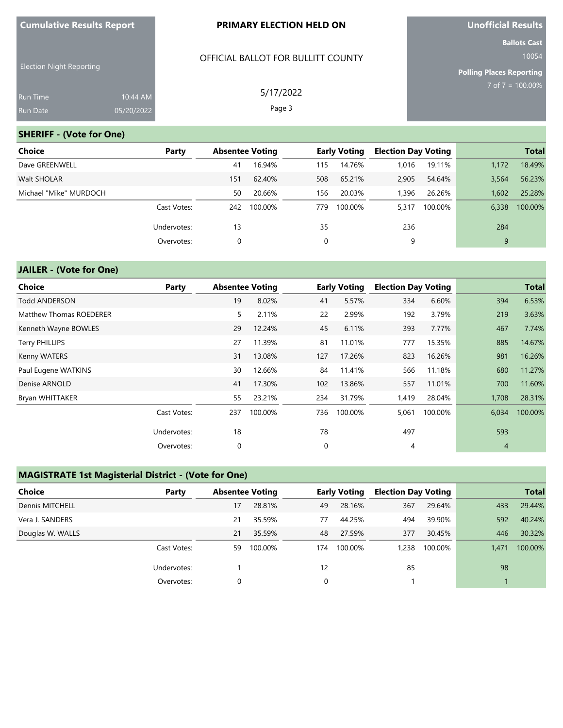#### **PRIMARY ELECTION HELD ON**

### OFFICIAL BALLOT FOR BULLITT COUNTY

5/17/2022 Page 3

Election Night Reporting

| <b>Run Time</b> | $10:44$ AM |
|-----------------|------------|
| <b>Run Date</b> | 05/20/2022 |

#### **SHERIFF - (Vote for One)**

| Choice                 | Party       | <b>Absentee Voting</b> |         |     | <b>Early Voting</b> | <b>Election Day Voting</b> |         |       | <b>Total</b> |
|------------------------|-------------|------------------------|---------|-----|---------------------|----------------------------|---------|-------|--------------|
| Dave GREENWELL         |             | 41                     | 16.94%  | 115 | 14.76%              | 1,016                      | 19.11%  | 1,172 | 18.49%       |
| Walt SHOLAR            |             | 151                    | 62.40%  | 508 | 65.21%              | 2,905                      | 54.64%  | 3,564 | 56.23%       |
| Michael "Mike" MURDOCH |             | 50                     | 20.66%  | 156 | 20.03%              | 1,396                      | 26.26%  | 1,602 | 25.28%       |
|                        | Cast Votes: | 242                    | 100.00% | 779 | 100.00%             | 5.317                      | 100.00% | 6.338 | 100.00%      |
|                        | Undervotes: | 13                     |         | 35  |                     | 236                        |         | 284   |              |
|                        | Overvotes:  | 0                      |         | 0   |                     | 9                          |         | 9     |              |

### **JAILER - (Vote for One)**

| Choice                  | Party       | <b>Absentee Voting</b> |         |     | <b>Early Voting</b> | <b>Election Day Voting</b> |         |       | <b>Total</b> |
|-------------------------|-------------|------------------------|---------|-----|---------------------|----------------------------|---------|-------|--------------|
| <b>Todd ANDERSON</b>    |             | 19                     | 8.02%   | 41  | 5.57%               | 334                        | 6.60%   | 394   | 6.53%        |
| Matthew Thomas ROEDERER |             | 5                      | 2.11%   | 22  | 2.99%               | 192                        | 3.79%   | 219   | 3.63%        |
| Kenneth Wayne BOWLES    |             | 29                     | 12.24%  | 45  | 6.11%               | 393                        | 7.77%   | 467   | 7.74%        |
| <b>Terry PHILLIPS</b>   |             | 27                     | 11.39%  | 81  | 11.01%              | 777                        | 15.35%  | 885   | 14.67%       |
| Kenny WATERS            |             | 31                     | 13.08%  | 127 | 17.26%              | 823                        | 16.26%  | 981   | 16.26%       |
| Paul Eugene WATKINS     |             | 30                     | 12.66%  | 84  | 11.41%              | 566                        | 11.18%  | 680   | 11.27%       |
| Denise ARNOLD           |             | 41                     | 17.30%  | 102 | 13.86%              | 557                        | 11.01%  | 700   | 11.60%       |
| Bryan WHITTAKER         |             | 55                     | 23.21%  | 234 | 31.79%              | 1,419                      | 28.04%  | 1,708 | 28.31%       |
|                         | Cast Votes: | 237                    | 100.00% | 736 | 100.00%             | 5,061                      | 100.00% | 6,034 | 100.00%      |
|                         | Undervotes: | 18                     |         | 78  |                     | 497                        |         | 593   |              |
|                         | Overvotes:  | 0                      |         | 0   |                     | 4                          |         | 4     |              |

## **MAGISTRATE 1st Magisterial District - (Vote for One)**

| <b>Choice</b>          | Party       | <b>Absentee Voting</b> |         |     | <b>Early Voting</b> | <b>Election Day Voting</b> |         |       | <b>Total</b> |
|------------------------|-------------|------------------------|---------|-----|---------------------|----------------------------|---------|-------|--------------|
| <b>Dennis MITCHELL</b> |             | 17                     | 28.81%  | 49  | 28.16%              | 367                        | 29.64%  | 433   | 29.44%       |
| Vera J. SANDERS        |             | 21                     | 35.59%  | 77  | 44.25%              | 494                        | 39.90%  | 592   | 40.24%       |
| Douglas W. WALLS       |             | 21                     | 35.59%  | 48  | 27.59%              | 377                        | 30.45%  | 446   | 30.32%       |
|                        | Cast Votes: | 59                     | 100.00% | 174 | 100.00%             | 1,238                      | 100.00% | 1.471 | 100.00%      |
|                        | Undervotes: |                        |         | 12  |                     | 85                         |         | 98    |              |
|                        | Overvotes:  | 0                      |         | 0   |                     |                            |         |       |              |

**Unofficial Results**

**Ballots Cast** 10054

**Polling Places Reporting** 7 of 7 = 100.00%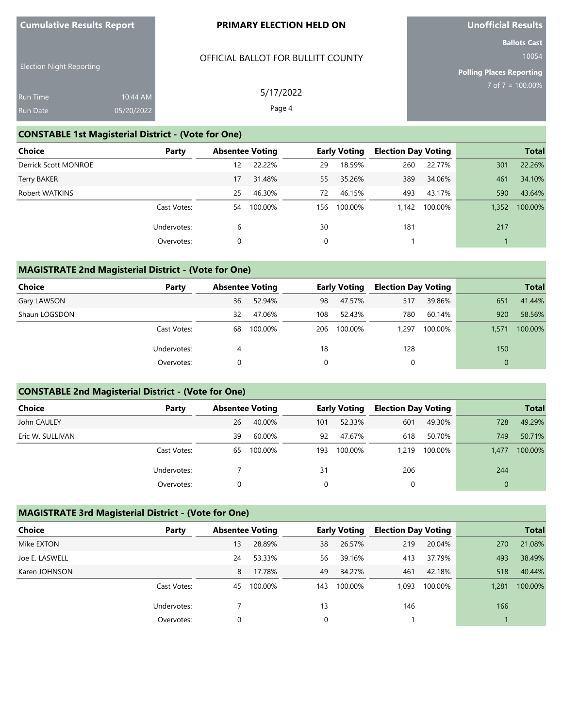#### **PRIMARY ELECTION HELD ON**

OFFICIAL BALLOT FOR BULLITT COUNTY

5/17/2022 Page 4

**Unofficial Results**

**Ballots Cast** 10054

**Polling Places Reporting**

7 of 7 = 100.00%

| <b>Run Time</b> | $10:44$ AM |
|-----------------|------------|
| Run Date        | 05/20/2022 |

## **CONSTABLE 1st Magisterial District - (Vote for One)**

| <b>Choice</b>        | Party       | <b>Absentee Voting</b> |         |     | <b>Early Voting</b> | <b>Election Day Voting</b> |         |       | <b>Total</b> |
|----------------------|-------------|------------------------|---------|-----|---------------------|----------------------------|---------|-------|--------------|
| Derrick Scott MONROE |             | 12                     | 22.22%  | 29  | 18.59%              | 260                        | 22.77%  | 301   | 22.26%       |
| <b>Terry BAKER</b>   |             | 17                     | 31.48%  | 55  | 35.26%              | 389                        | 34.06%  | 461   | 34.10%       |
| Robert WATKINS       |             | 25                     | 46.30%  | 72  | 46.15%              | 493                        | 43.17%  | 590   | 43.64%       |
|                      | Cast Votes: | 54                     | 100.00% | 156 | 100.00%             | 1.142                      | 100.00% | 1,352 | 100.00%      |
|                      | Undervotes: | 6                      |         | 30  |                     | 181                        |         | 217   |              |
|                      | Overvotes:  | 0                      |         | 0   |                     |                            |         |       |              |

## **MAGISTRATE 2nd Magisterial District - (Vote for One)**

| <b>Choice</b> | Party       |    | <b>Absentee Voting</b> |     | <b>Early Voting</b> | <b>Election Day Voting</b> |         |          | <b>Total</b> |
|---------------|-------------|----|------------------------|-----|---------------------|----------------------------|---------|----------|--------------|
| Gary LAWSON   |             | 36 | 52.94%                 | 98  | 47.57%              | 517                        | 39.86%  | 651      | 41.44%       |
| Shaun LOGSDON |             | 32 | 47.06%                 | 108 | 52.43%              | 780                        | 60.14%  | 920      | 58.56%       |
|               | Cast Votes: | 68 | 100.00%                | 206 | 100.00%             | 1,297                      | 100.00% | 1,571    | 100.00%      |
|               | Undervotes: | 4  |                        | 18  |                     | 128                        |         | 150      |              |
|               | Overvotes:  | 0  |                        | 0   |                     |                            |         | $\Omega$ |              |

## **CONSTABLE 2nd Magisterial District - (Vote for One)**

| Choice           | Party       |    | <b>Absentee Voting</b> |     | <b>Early Voting</b> |       | <b>Election Day Voting</b> |          | <b>Total</b> |
|------------------|-------------|----|------------------------|-----|---------------------|-------|----------------------------|----------|--------------|
| John CAULEY      |             | 26 | 40.00%                 | 101 | 52.33%              | 601   | 49.30%                     | 728      | 49.29%       |
| Eric W. SULLIVAN |             | 39 | 60.00%                 | 92  | 47.67%              | 618   | 50.70%                     | 749      | 50.71%       |
|                  | Cast Votes: | 65 | 100.00%                | 193 | 100.00%             | 1,219 | 100.00%                    | 1.477    | 100.00%      |
|                  | Undervotes: |    |                        | 31  |                     | 206   |                            | 244      |              |
|                  | Overvotes:  |    |                        | 0   |                     |       |                            | $\Omega$ |              |

## **MAGISTRATE 3rd Magisterial District - (Vote for One)**

| <b>Choice</b>  | Party       | <b>Absentee Voting</b> |         |     | <b>Early Voting</b> | <b>Election Day Voting</b> |         |       | <b>Total</b> |
|----------------|-------------|------------------------|---------|-----|---------------------|----------------------------|---------|-------|--------------|
| Mike EXTON     |             | 13                     | 28.89%  | 38  | 26.57%              | 219                        | 20.04%  | 270   | 21.08%       |
| Joe E. LASWELL |             | 24                     | 53.33%  | 56  | 39.16%              | 413                        | 37.79%  | 493   | 38.49%       |
| Karen JOHNSON  |             | 8                      | 17.78%  | 49  | 34.27%              | 461                        | 42.18%  | 518   | 40.44%       |
|                | Cast Votes: | 45                     | 100.00% | 143 | 100.00%             | 1.093                      | 100.00% | 1,281 | 100.00%      |
|                | Undervotes: |                        |         | 13  |                     | 146                        |         | 166   |              |
|                | Overvotes:  |                        |         |     |                     |                            |         |       |              |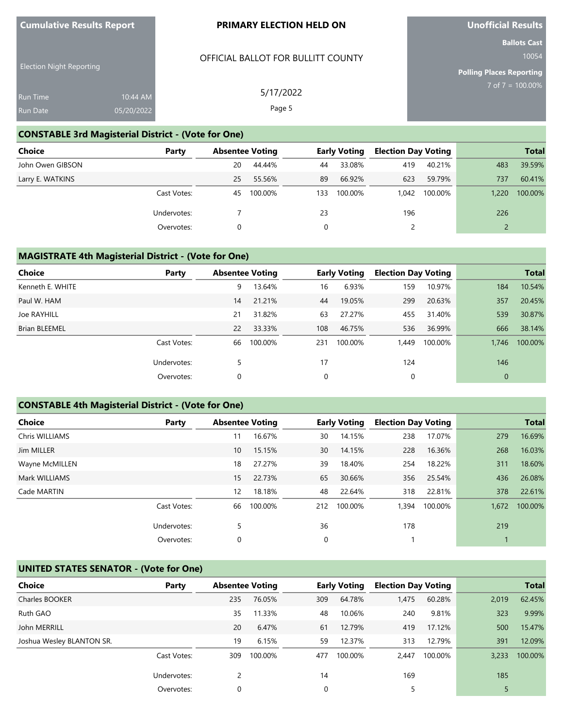#### **PRIMARY ELECTION HELD ON**

OFFICIAL BALLOT FOR BULLITT COUNTY

5/17/2022 Page 5

# **Unofficial Results**

**Ballots Cast** 10054

**Polling Places Reporting** 7 of 7 = 100.00%

| _____           |            |
|-----------------|------------|
| <b>Run Time</b> | 10:44 AM   |
| <b>Run Date</b> | 05/20/2022 |

## **CONSTABLE 3rd Magisterial District - (Vote for One)**

| Choice           | Party       |    | <b>Absentee Voting</b> |     | <b>Early Voting</b> | <b>Election Day Voting</b> |         |       | <b>Total</b> |
|------------------|-------------|----|------------------------|-----|---------------------|----------------------------|---------|-------|--------------|
| John Owen GIBSON |             | 20 | 44.44%                 | 44  | 33.08%              | 419                        | 40.21%  | 483   | 39.59%       |
| Larry E. WATKINS |             | 25 | 55.56%                 | 89  | 66.92%              | 623                        | 59.79%  | 737   | 60.41%       |
|                  | Cast Votes: | 45 | 100.00%                | 133 | 100.00%             | 1.042                      | 100.00% | 1.220 | 100.00%      |
|                  | Undervotes: |    |                        | 23  |                     | 196                        |         | 226   |              |
|                  | Overvotes:  | 0  |                        |     |                     |                            |         |       |              |

#### **MAGISTRATE 4th Magisterial District - (Vote for One)**

| <b>Choice</b>        | Party       | <b>Absentee Voting</b> |         |     | <b>Early Voting</b> | <b>Election Day Voting</b> |         |              | <b>Total</b> |
|----------------------|-------------|------------------------|---------|-----|---------------------|----------------------------|---------|--------------|--------------|
| Kenneth E. WHITE     |             | 9                      | 13.64%  | 16  | 6.93%               | 159                        | 10.97%  | 184          | 10.54%       |
| Paul W. HAM          |             | 14                     | 21.21%  | 44  | 19.05%              | 299                        | 20.63%  | 357          | 20.45%       |
| Joe RAYHILL          |             | 21                     | 31.82%  | 63  | 27.27%              | 455                        | 31.40%  | 539          | 30.87%       |
| <b>Brian BLEEMEL</b> |             | 22                     | 33.33%  | 108 | 46.75%              | 536                        | 36.99%  | 666          | 38.14%       |
|                      | Cast Votes: | 66                     | 100.00% | 231 | 100.00%             | 1.449                      | 100.00% | 1.746        | 100.00%      |
|                      | Undervotes: | 5                      |         | 17  |                     | 124                        |         | 146          |              |
|                      | Overvotes:  | 0                      |         | 0   |                     | 0                          |         | $\mathbf{0}$ |              |

## **CONSTABLE 4th Magisterial District - (Vote for One)**

| <b>Choice</b>  | Party       | <b>Absentee Voting</b> |         |             | <b>Early Voting</b> | <b>Election Day Voting</b> |         |       | <b>Total</b> |
|----------------|-------------|------------------------|---------|-------------|---------------------|----------------------------|---------|-------|--------------|
| Chris WILLIAMS |             | 11                     | 16.67%  | 30          | 14.15%              | 238                        | 17.07%  | 279   | 16.69%       |
| Jim MILLER     |             | 10                     | 15.15%  | 30          | 14.15%              | 228                        | 16.36%  | 268   | 16.03%       |
| Wayne McMILLEN |             | 18                     | 27.27%  | 39          | 18.40%              | 254                        | 18.22%  | 311   | 18.60%       |
| Mark WILLIAMS  |             | 15                     | 22.73%  | 65          | 30.66%              | 356                        | 25.54%  | 436   | 26.08%       |
| Cade MARTIN    |             | $12 \overline{ }$      | 18.18%  | 48          | 22.64%              | 318                        | 22.81%  | 378   | 22.61%       |
|                | Cast Votes: | 66                     | 100.00% | 212         | 100.00%             | 1.394                      | 100.00% | 1,672 | 100.00%      |
|                | Undervotes: | 5                      |         | 36          |                     | 178                        |         | 219   |              |
|                | Overvotes:  | 0                      |         | $\mathbf 0$ |                     |                            |         |       |              |

## **UNITED STATES SENATOR - (Vote for One)**

| <b>Choice</b>             | Party       | <b>Absentee Voting</b> |         | <b>Early Voting</b> |         | <b>Election Day Voting</b> |         |       | <b>Total</b> |
|---------------------------|-------------|------------------------|---------|---------------------|---------|----------------------------|---------|-------|--------------|
| Charles BOOKER            |             | 235                    | 76.05%  | 309                 | 64.78%  | 1,475                      | 60.28%  | 2,019 | 62.45%       |
| Ruth GAO                  |             | 35                     | 11.33%  | 48                  | 10.06%  | 240                        | 9.81%   | 323   | 9.99%        |
| John MERRILL              |             | 20                     | 6.47%   | 61                  | 12.79%  | 419                        | 17.12%  | 500   | 15.47%       |
| Joshua Wesley BLANTON SR. |             | 19                     | 6.15%   | 59                  | 12.37%  | 313                        | 12.79%  | 391   | 12.09%       |
|                           | Cast Votes: | 309                    | 100.00% | 477                 | 100.00% | 2.447                      | 100.00% | 3.233 | 100.00%      |
|                           | Undervotes: | 2                      |         | 14                  |         | 169                        |         | 185   |              |
|                           | Overvotes:  | 0                      |         | 0                   |         | 5                          |         |       |              |